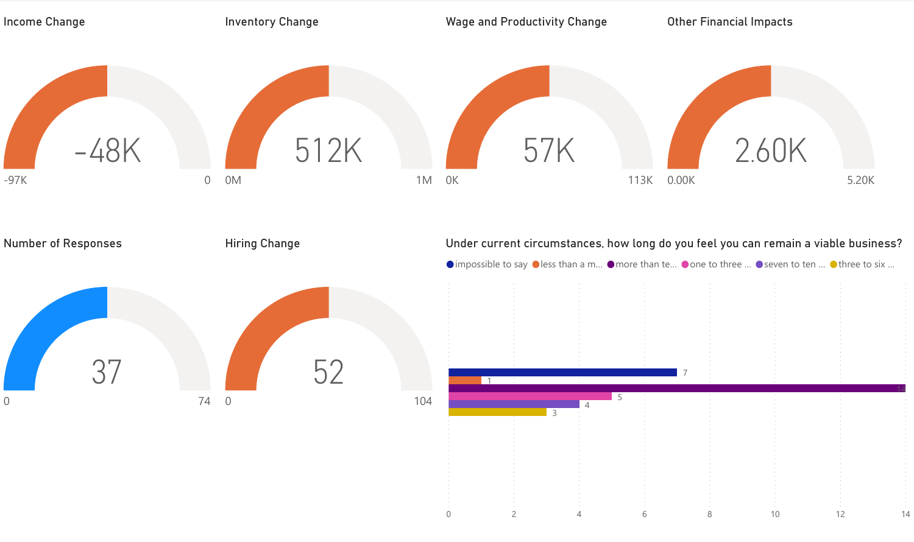